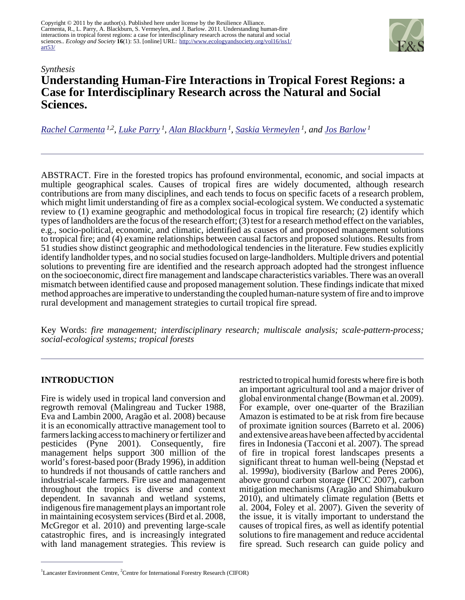

# *Synthesis* **Understanding Human-Fire Interactions in Tropical Forest Regions: a Case for Interdisciplinary Research across the Natural and Social Sciences.**

*[Rachel Carmenta](mailto:rcarmenta@hotmail.com) 1,2 , [Luke Parry](mailto:lukeparry1@gmail.com)<sup>1</sup> , [Alan Blackburn](mailto:alan.blackburn@lancaster.ac.uk)<sup>1</sup> , [Saskia Vermeylen](mailto:s.vermeylen@lancaster.ac.uk)<sup>1</sup>, and [Jos Barlow](mailto:josbarlow@gmail.com)<sup>1</sup>*

ABSTRACT. Fire in the forested tropics has profound environmental, economic, and social impacts at multiple geographical scales. Causes of tropical fires are widely documented, although research contributions are from many disciplines, and each tends to focus on specific facets of a research problem, which might limit understanding of fire as a complex social-ecological system. We conducted a systematic review to (1) examine geographic and methodological focus in tropical fire research; (2) identify which types of landholders are the focus of the research effort; (3) test for a research method effect on the variables, e.g., socio-political, economic, and climatic, identified as causes of and proposed management solutions to tropical fire; and (4) examine relationships between causal factors and proposed solutions. Results from 51 studies show distinct geographic and methodological tendencies in the literature. Few studies explicitly identify landholder types, and no social studies focused on large-landholders. Multiple drivers and potential solutions to preventing fire are identified and the research approach adopted had the strongest influence on the socioeconomic, direct fire management and landscape characteristics variables. There was an overall mismatch between identified cause and proposed management solution. These findings indicate that mixed method approaches are imperative to understanding the coupled human-nature system of fire and to improve rural development and management strategies to curtail tropical fire spread.

Key Words: *fire management; interdisciplinary research; multiscale analysis; scale-pattern-process; social-ecological systems; tropical forests*

## **INTRODUCTION**

Fire is widely used in tropical land conversion and regrowth removal (Malingreau and Tucker 1988, Eva and Lambin 2000, Aragão et al. 2008) because it is an economically attractive management tool to farmers lacking access to machinery or fertilizer and pesticides (Pyne 2001). Consequently, fire management helps support 300 million of the world's forest-based poor (Brady 1996), in addition to hundreds if not thousands of cattle ranchers and industrial-scale farmers. Fire use and management throughout the tropics is diverse and context dependent. In savannah and wetland systems, indigenous fire management plays an important role in maintaining ecosystem services (Bird et al. 2008, McGregor et al. 2010) and preventing large-scale catastrophic fires, and is increasingly integrated with land management strategies. This review is

restricted to tropical humid forests where fire is both an important agricultural tool and a major driver of global environmental change (Bowman et al. 2009). For example, over one-quarter of the Brazilian Amazon is estimated to be at risk from fire because of proximate ignition sources (Barreto et al. 2006) and extensive areas have been affected by accidental fires in Indonesia (Tacconi et al. 2007). The spread of fire in tropical forest landscapes presents a significant threat to human well-being (Nepstad et al. 1999*a*), biodiversity (Barlow and Peres 2006), above ground carbon storage (IPCC 2007), carbon mitigation mechanisms (Aragão and Shimabukuro 2010), and ultimately climate regulation (Betts et al. 2004, Foley et al. 2007). Given the severity of the issue, it is vitally important to understand the causes of tropical fires, as well as identify potential solutions to fire management and reduce accidental fire spread. Such research can guide policy and

<sup>&</sup>lt;sup>1</sup>Lancaster Environment Centre, <sup>2</sup>Centre for International Forestry Research (CIFOR)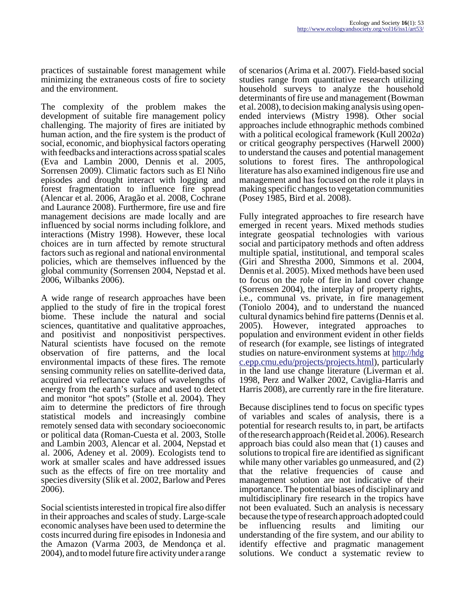practices of sustainable forest management while minimizing the extraneous costs of fire to society and the environment.

The complexity of the problem makes the development of suitable fire management policy challenging. The majority of fires are initiated by human action, and the fire system is the product of social, economic, and biophysical factors operating with feedbacks and interactions across spatial scales (Eva and Lambin 2000, Dennis et al. 2005, Sorrensen 2009). Climatic factors such as El Niño episodes and drought interact with logging and forest fragmentation to influence fire spread (Alencar et al. 2006, Aragão et al. 2008, Cochrane and Laurance 2008). Furthermore, fire use and fire management decisions are made locally and are influenced by social norms including folklore, and interactions (Mistry 1998). However, these local choices are in turn affected by remote structural factors such as regional and national environmental policies, which are themselves influenced by the global community (Sorrensen 2004, Nepstad et al. 2006, Wilbanks 2006).

A wide range of research approaches have been applied to the study of fire in the tropical forest biome. These include the natural and social sciences, quantitative and qualitative approaches, and positivist and nonpositivist perspectives. Natural scientists have focused on the remote observation of fire patterns, and the local environmental impacts of these fires. The remote sensing community relies on satellite-derived data, acquired via reflectance values of wavelengths of energy from the earth's surface and used to detect and monitor "hot spots" (Stolle et al. 2004). They aim to determine the predictors of fire through statistical models and increasingly combine remotely sensed data with secondary socioeconomic or political data (Roman-Cuesta et al. 2003, Stolle and Lambin 2003, Alencar et al. 2004, Nepstad et al. 2006, Adeney et al. 2009). Ecologists tend to work at smaller scales and have addressed issues such as the effects of fire on tree mortality and species diversity (Slik et al. 2002, Barlow and Peres 2006).

Social scientists interested in tropical fire also differ in their approaches and scales of study. Large-scale economic analyses have been used to determine the costs incurred during fire episodes in Indonesia and the Amazon (Varma 2003, de Mendonça et al. 2004), and to model future fire activity under a range

of scenarios (Arima et al. 2007). Field-based social studies range from quantitative research utilizing household surveys to analyze the household determinants of fire use and management (Bowman et al. 2008), to decision making analysis using openended interviews (Mistry 1998). Other social approaches include ethnographic methods combined with a political ecological framework (Kull 2002*a*) or critical geography perspectives (Harwell 2000) to understand the causes and potential management solutions to forest fires. The anthropological literature has also examined indigenous fire use and management and has focused on the role it plays in making specific changes to vegetation communities (Posey 1985, Bird et al. 2008).

Fully integrated approaches to fire research have emerged in recent years. Mixed methods studies integrate geospatial technologies with various social and participatory methods and often address multiple spatial, institutional, and temporal scales (Giri and Shrestha 2000, Simmons et al. 2004, Dennis et al. 2005). Mixed methods have been used to focus on the role of fire in land cover change (Sorrensen 2004), the interplay of property rights, i.e., communal vs. private, in fire management (Toniolo 2004), and to understand the nuanced cultural dynamics behind fire patterns (Dennis et al. 2005). However, integrated approaches to population and environment evident in other fields of research (for example, see listings of integrated studies on nature-environment systems at [http://hdg](http://hdgc.epp.cmu.edu/projects/projects.html) [c.epp.cmu.edu/projects/projects.html](http://hdgc.epp.cmu.edu/projects/projects.html)), particularly in the land use change literature (Liverman et al. 1998, Perz and Walker 2002, Caviglia-Harris and Harris 2008), are currently rare in the fire literature.

Because disciplines tend to focus on specific types of variables and scales of analysis, there is a potential for research results to, in part, be artifacts of the research approach (Reid et al. 2006). Research approach bias could also mean that (1) causes and solutions to tropical fire are identified as significant while many other variables go unmeasured, and (2) that the relative frequencies of cause and management solution are not indicative of their importance. The potential biases of disciplinary and multidisciplinary fire research in the tropics have not been evaluated. Such an analysis is necessary because the type of research approach adopted could be influencing results and limiting our understanding of the fire system, and our ability to identify effective and pragmatic management solutions. We conduct a systematic review to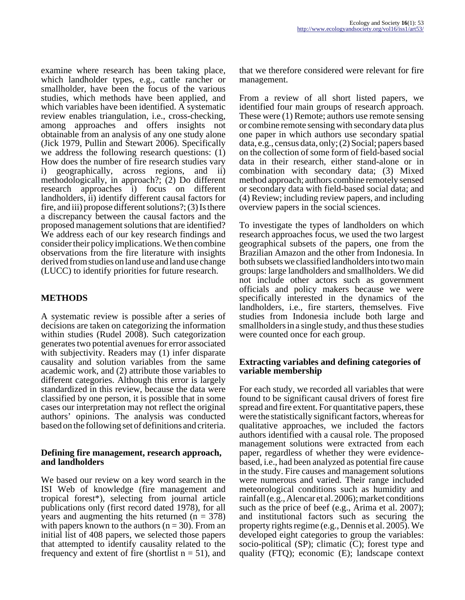examine where research has been taking place, which landholder types, e.g., cattle rancher or smallholder, have been the focus of the various studies, which methods have been applied, and which variables have been identified. A systematic review enables triangulation, i.e., cross-checking, among approaches and offers insights not obtainable from an analysis of any one study alone (Jick 1979, Pullin and Stewart 2006). Specifically we address the following research questions: (1) How does the number of fire research studies vary i) geographically, across regions, and ii) methodologically, in approach?; (2) Do different research approaches i) focus on different landholders, ii) identify different causal factors for fire, and iii) propose different solutions?; (3) Is there a discrepancy between the causal factors and the proposed management solutions that are identified? We address each of our key research findings and consider their policy implications. We then combine observations from the fire literature with insights derived from studies on land use and land use change (LUCC) to identify priorities for future research.

### **METHODS**

A systematic review is possible after a series of decisions are taken on categorizing the information within studies (Rudel 2008). Such categorization generates two potential avenues for error associated with subjectivity. Readers may (1) infer disparate causality and solution variables from the same academic work, and (2) attribute those variables to different categories. Although this error is largely standardized in this review, because the data were classified by one person, it is possible that in some cases our interpretation may not reflect the original authors' opinions. The analysis was conducted based on the following set of definitions and criteria.

#### **Defining fire management, research approach, and landholders**

We based our review on a key word search in the ISI Web of knowledge (fire management and tropical forest\*), selecting from journal article publications only (first record dated 1978), for all years and augmenting the hits returned  $(n = 378)$ with papers known to the authors  $(n = 30)$ . From an initial list of 408 papers, we selected those papers that attempted to identify causality related to the frequency and extent of fire (shortlist  $n = 51$ ), and

that we therefore considered were relevant for fire management.

From a review of all short listed papers, we identified four main groups of research approach. These were (1) Remote; authors use remote sensing or combine remote sensing with secondary data plus one paper in which authors use secondary spatial data, e.g., census data, only; (2) Social; papers based on the collection of some form of field-based social data in their research, either stand-alone or in combination with secondary data; (3) Mixed method approach; authors combine remotely sensed or secondary data with field-based social data; and (4) Review; including review papers, and including overview papers in the social sciences.

To investigate the types of landholders on which research approaches focus, we used the two largest geographical subsets of the papers, one from the Brazilian Amazon and the other from Indonesia. In both subsets we classified landholders into two main groups: large landholders and smallholders. We did not include other actors such as government officials and policy makers because we were specifically interested in the dynamics of the landholders, i.e., fire starters, themselves. Five studies from Indonesia include both large and smallholders in a single study, and thus these studies were counted once for each group.

#### **Extracting variables and defining categories of variable membership**

For each study, we recorded all variables that were found to be significant causal drivers of forest fire spread and fire extent. For quantitative papers, these were the statistically significant factors, whereas for qualitative approaches, we included the factors authors identified with a causal role. The proposed management solutions were extracted from each paper, regardless of whether they were evidencebased, i.e., had been analyzed as potential fire cause in the study. Fire causes and management solutions were numerous and varied. Their range included meteorological conditions such as humidity and rainfall (e.g., Alencar et al. 2006); market conditions such as the price of beef (e.g., Arima et al. 2007); and institutional factors such as securing the property rights regime (e.g., Dennis et al. 2005). We developed eight categories to group the variables: socio-political (SP); climatic (C); forest type and quality (FTQ); economic (E); landscape context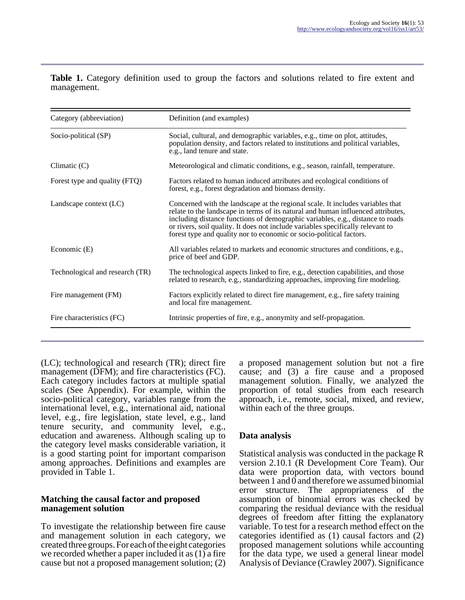**Table 1.** Category definition used to group the factors and solutions related to fire extent and management.

| Category (abbreviation)         | Definition (and examples)                                                                                                                                                                                                                                                                                                                                                                                      |  |
|---------------------------------|----------------------------------------------------------------------------------------------------------------------------------------------------------------------------------------------------------------------------------------------------------------------------------------------------------------------------------------------------------------------------------------------------------------|--|
| Socio-political (SP)            | Social, cultural, and demographic variables, e.g., time on plot, attitudes,<br>population density, and factors related to institutions and political variables,<br>e.g., land tenure and state.                                                                                                                                                                                                                |  |
| Climatic $(C)$                  | Meteorological and climatic conditions, e.g., season, rainfall, temperature.                                                                                                                                                                                                                                                                                                                                   |  |
| Forest type and quality (FTQ)   | Factors related to human induced attributes and ecological conditions of<br>forest, e.g., forest degradation and biomass density.                                                                                                                                                                                                                                                                              |  |
| Landscape context (LC)          | Concerned with the landscape at the regional scale. It includes variables that<br>relate to the landscape in terms of its natural and human influenced attributes,<br>including distance functions of demographic variables, e.g., distance to roads<br>or rivers, soil quality. It does not include variables specifically relevant to<br>forest type and quality nor to economic or socio-political factors. |  |
| Economic (E)                    | All variables related to markets and economic structures and conditions, e.g.,<br>price of beef and GDP.                                                                                                                                                                                                                                                                                                       |  |
| Technological and research (TR) | The technological aspects linked to fire, e.g., detection capabilities, and those<br>related to research, e.g., standardizing approaches, improving fire modeling.                                                                                                                                                                                                                                             |  |
| Fire management (FM)            | Factors explicitly related to direct fire management, e.g., fire safety training<br>and local fire management.                                                                                                                                                                                                                                                                                                 |  |
| Fire characteristics (FC)       | Intrinsic properties of fire, e.g., anonymity and self-propagation.                                                                                                                                                                                                                                                                                                                                            |  |

(LC); technological and research (TR); direct fire management (DFM); and fire characteristics (FC). Each category includes factors at multiple spatial scales (See Appendix). For example, within the socio-political category, variables range from the international level, e.g., international aid, national level, e.g., fire legislation, state level, e.g., land tenure security, and community level, e.g., education and awareness. Although scaling up to the category level masks considerable variation, it is a good starting point for important comparison among approaches. Definitions and examples are provided in Table 1.

#### **Matching the causal factor and proposed management solution**

To investigate the relationship between fire cause and management solution in each category, we created three groups. For each of the eight categories we recorded whether a paper included it as (1) a fire cause but not a proposed management solution; (2) a proposed management solution but not a fire cause; and (3) a fire cause and a proposed management solution. Finally, we analyzed the proportion of total studies from each research approach, i.e., remote, social, mixed, and review, within each of the three groups.

## **Data analysis**

Statistical analysis was conducted in the package R version 2.10.1 (R Development Core Team). Our data were proportion data, with vectors bound between 1 and  $\overline{0}$  and therefore we assumed binomial error structure. The appropriateness of the assumption of binomial errors was checked by comparing the residual deviance with the residual degrees of freedom after fitting the explanatory variable. To test for a research method effect on the categories identified as (1) causal factors and (2) proposed management solutions while accounting for the data type, we used a general linear model Analysis of Deviance (Crawley 2007). Significance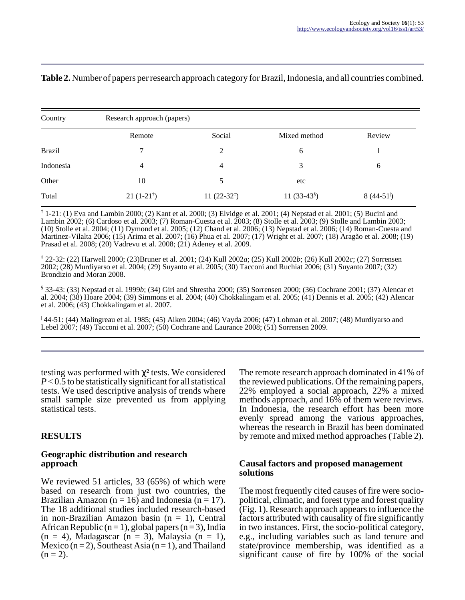| Country       | Research approach (papers) |                         |              |            |  |
|---------------|----------------------------|-------------------------|--------------|------------|--|
|               | Remote                     | Social                  | Mixed method | Review     |  |
| <b>Brazil</b> | 7                          | 2                       | 6            |            |  |
| Indonesia     | $\overline{4}$             | 4                       | 3            | 6          |  |
| Other         | 10                         |                         | etc          |            |  |
| Total         | $21(1-21^{\dagger})$       | 11 $(22-32^{\ddagger})$ | 11 $(33-43)$ | $8(44-51)$ |  |

### **Table 2.** Number of papers per research approach category for Brazil, Indonesia, and all countries combined.

† 1-21: (1) Eva and Lambin 2000; (2) Kant et al. 2000; (3) Elvidge et al. 2001; (4) Nepstad et al. 2001; (5) Bucini and Lambin 2002; (6) Cardoso et al. 2003; (7) Roman-Cuesta et al. 2003; (8) Stolle et al. 2003; (9) Stolle and Lambin 2003; (10) Stolle et al. 2004; (11) Dymond et al. 2005; (12) Chand et al. 2006; (13) Nepstad et al. 2006; (14) Roman-Cuesta and Martinez-Vilalta 2006; (15) Arima et al. 2007; (16) Phua et al. 2007; (17) Wright et al. 2007; (18) Aragão et al. 2008; (19) Prasad et al. 2008; (20) Vadrevu et al. 2008; (21) Adeney et al. 2009.

‡ 22-32: (22) Harwell 2000; (23)Bruner et al. 2001; (24) Kull 2002*a*; (25) Kull 2002*b*; (26) Kull 2002*c*; (27) Sorrensen 2002; (28) Murdiyarso et al. 2004; (29) Suyanto et al. 2005; (30) Tacconi and Ruchiat 2006; (31) Suyanto 2007; (32) Brondizio and Moran 2008.

§ 33-43: (33) Nepstad et al. 1999*b*; (34) Giri and Shrestha 2000; (35) Sorrensen 2000; (36) Cochrane 2001; (37) Alencar et al. 2004; (38) Hoare 2004; (39) Simmons et al. 2004; (40) Chokkalingam et al. 2005; (41) Dennis et al. 2005; (42) Alencar et al. 2006; (43) Chokkalingam et al. 2007.

| 44-51: (44) Malingreau et al. 1985; (45) Aiken 2004; (46) Vayda 2006; (47) Lohman et al. 2007; (48) Murdiyarso and Lebel 2007; (49) Tacconi et al. 2007; (50) Cochrane and Laurance 2008; (51) Sorrensen 2009.

testing was performed with  $\chi^2$  tests. We considered *P* < 0.5 to be statistically significant for all statistical tests. We used descriptive analysis of trends where small sample size prevented us from applying statistical tests.

#### **RESULTS**

#### **Geographic distribution and research approach**

We reviewed 51 articles, 33 (65%) of which were based on research from just two countries, the Brazilian Amazon ( $n = 16$ ) and Indonesia ( $n = 17$ ). The 18 additional studies included research-based in non-Brazilian Amazon basin  $(n = 1)$ . Central African Republic (n = 1), global papers (n = 3), India  $(n = 4)$ , Madagascar  $(n = 3)$ , Malaysia  $(n = 1)$ , Mexico ( $n = 2$ ), Southeast Asia ( $n = 1$ ), and Thailand  $(n = 2)$ .

The remote research approach dominated in 41% of the reviewed publications. Of the remaining papers, 22% employed a social approach, 22% a mixed methods approach, and 16% of them were reviews. In Indonesia, the research effort has been more evenly spread among the various approaches, whereas the research in Brazil has been dominated by remote and mixed method approaches (Table 2).

#### **Causal factors and proposed management solutions**

The most frequently cited causes of fire were sociopolitical, climatic, and forest type and forest quality (Fig. 1). Research approach appears to influence the factors attributed with causality of fire significantly in two instances. First, the socio-political category, e.g., including variables such as land tenure and state/province membership, was identified as a significant cause of fire by 100% of the social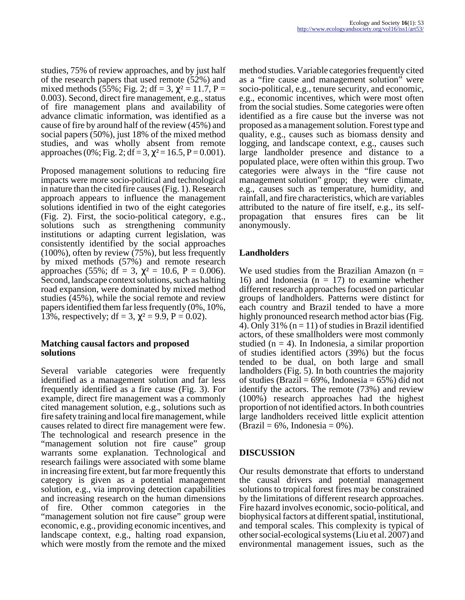studies, 75% of review approaches, and by just half of the research papers that used remote (52%) and mixed methods (55%; Fig. 2; df = 3,  $\chi^2$  = 11.7, P = 0.003). Second, direct fire management, e.g., status of fire management plans and availability of advance climatic information, was identified as a cause of fire by around half of the review (45%) and social papers (50%), just 18% of the mixed method studies, and was wholly absent from remote approaches (0%; Fig. 2; df = 3,  $\chi^2$  = 16.5, P = 0.001).

Proposed management solutions to reducing fire impacts were more socio-political and technological in nature than the cited fire causes (Fig. 1). Research approach appears to influence the management solutions identified in two of the eight categories (Fig. 2). First, the socio-political category, e.g., solutions such as strengthening community institutions or adapting current legislation, was consistently identified by the social approaches (100%), often by review (75%), but less frequently by mixed methods (57%) and remote research approaches (55%; df = 3,  $\chi^2$  = 10.6, P = 0.006). Second, landscape context solutions, such as halting road expansion, were dominated by mixed method studies (45%), while the social remote and review papers identified them far less frequently (0%, 10%, 13%, respectively; df = 3,  $\chi^2$  = 9.9, P = 0.02).

### **Matching causal factors and proposed solutions**

Several variable categories were frequently identified as a management solution and far less frequently identified as a fire cause (Fig. 3). For example, direct fire management was a commonly cited management solution, e.g., solutions such as fire safety training and local fire management, while causes related to direct fire management were few. The technological and research presence in the "management solution not fire cause" group warrants some explanation. Technological and research failings were associated with some blame in increasing fire extent, but far more frequently this category is given as a potential management solution, e.g., via improving detection capabilities and increasing research on the human dimensions of fire. Other common categories in the "management solution not fire cause" group were economic, e.g., providing economic incentives, and landscape context, e.g., halting road expansion, which were mostly from the remote and the mixed

method studies. Variable categories frequently cited as a "fire cause and management solution" were socio-political, e.g., tenure security, and economic, e.g., economic incentives, which were most often from the social studies. Some categories were often identified as a fire cause but the inverse was not proposed as a management solution. Forest type and quality, e.g., causes such as biomass density and logging, and landscape context, e.g., causes such large landholder presence and distance to a populated place, were often within this group. Two categories were always in the "fire cause not management solution" group; they were climate, e.g., causes such as temperature, humidity, and rainfall, and fire characteristics, which are variables attributed to the nature of fire itself, e.g., its selfpropagation that ensures fires can be lit anonymously.

### **Landholders**

We used studies from the Brazilian Amazon  $(n =$ 16) and Indonesia ( $n = 17$ ) to examine whether different research approaches focused on particular groups of landholders. Patterns were distinct for each country and Brazil tended to have a more highly pronounced research method actor bias (Fig. 4). Only 31%  $(n = 11)$  of studies in Brazil identified actors, of these smallholders were most commonly studied ( $n = 4$ ). In Indonesia, a similar proportion of studies identified actors (39%) but the focus tended to be dual, on both large and small landholders (Fig. 5). In both countries the majority of studies (Brazil =  $69\%$ , Indonesia =  $65\%$ ) did not identify the actors. The remote (73%) and review (100%) research approaches had the highest proportion of not identified actors. In both countries large landholders received little explicit attention  $(Brazil = 6\%, Indonesia = 0\%).$ 

#### **DISCUSSION**

Our results demonstrate that efforts to understand the causal drivers and potential management solutions to tropical forest fires may be constrained by the limitations of different research approaches. Fire hazard involves economic, socio-political, and biophysical factors at different spatial, institutional, and temporal scales. This complexity is typical of other social-ecological systems (Liu et al. 2007) and environmental management issues, such as the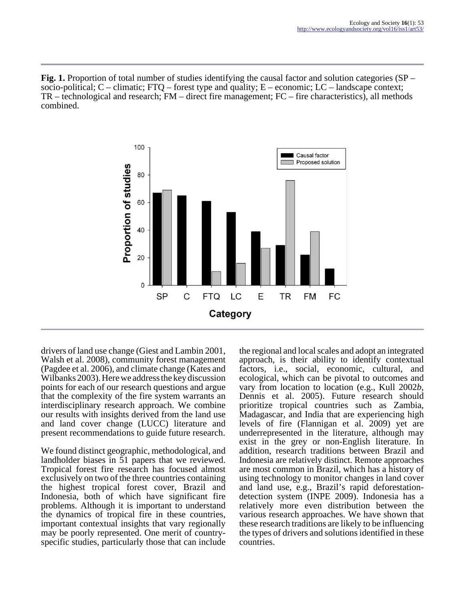**Fig. 1.** Proportion of total number of studies identifying the causal factor and solution categories (SP – socio-political; C – climatic; FTQ – forest type and quality; E – economic; LC – landscape context; TR – technological and research; FM – direct fire management; FC – fire characteristics), all methods combined.



drivers of land use change (Giest and Lambin 2001, Walsh et al. 2008), community forest management (Pagdee et al. 2006), and climate change (Kates and Wilbanks 2003). Here we address the key discussion points for each of our research questions and argue that the complexity of the fire system warrants an interdisciplinary research approach. We combine our results with insights derived from the land use and land cover change (LUCC) literature and present recommendations to guide future research.

We found distinct geographic, methodological, and landholder biases in 51 papers that we reviewed. Tropical forest fire research has focused almost exclusively on two of the three countries containing the highest tropical forest cover, Brazil and Indonesia, both of which have significant fire problems. Although it is important to understand the dynamics of tropical fire in these countries, important contextual insights that vary regionally may be poorly represented. One merit of countryspecific studies, particularly those that can include the regional and local scales and adopt an integrated approach, is their ability to identify contextual factors, i.e., social, economic, cultural, and ecological, which can be pivotal to outcomes and vary from location to location (e.g., Kull 2002*b*, Dennis et al. 2005). Future research should prioritize tropical countries such as Zambia, Madagascar, and India that are experiencing high levels of fire (Flannigan et al. 2009) yet are underrepresented in the literature, although may exist in the grey or non-English literature. In addition, research traditions between Brazil and Indonesia are relatively distinct. Remote approaches are most common in Brazil, which has a history of using technology to monitor changes in land cover and land use, e.g., Brazil's rapid deforestationdetection system (INPE 2009). Indonesia has a relatively more even distribution between the various research approaches. We have shown that these research traditions are likely to be influencing the types of drivers and solutions identified in these countries.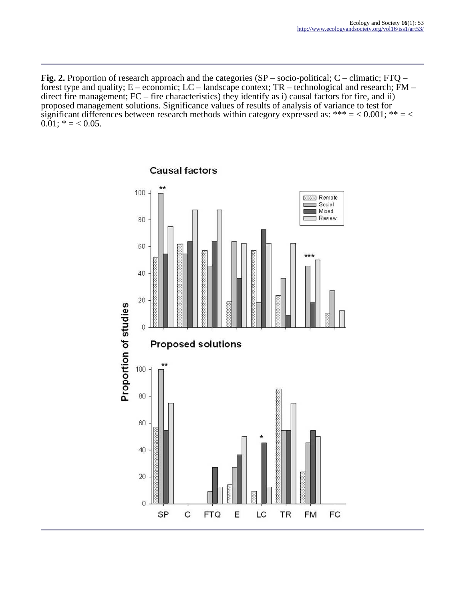**Fig. 2.** Proportion of research approach and the categories (SP – socio-political; C – climatic; FTQ – forest type and quality; E – economic; LC – landscape context; TR – technological and research; FM – direct fire management; FC – fire characteristics) they identify as i) causal factors for fire, and ii) proposed management solutions. Significance values of results of analysis of variance to test for significant differences between research methods within category expressed as: \*\*\* = < 0.001; \*\* = <  $0.01$ ;  $* = < 0.05$ .

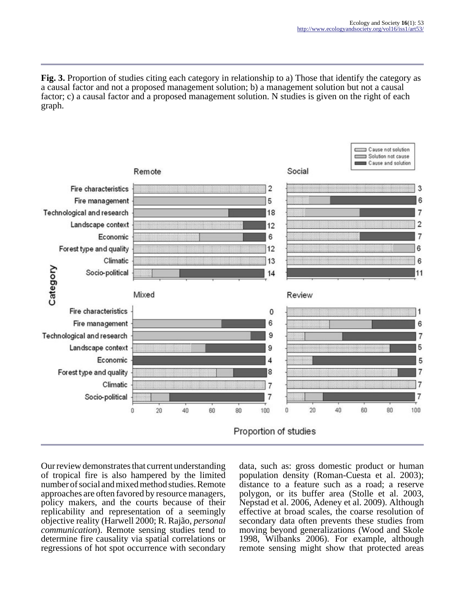**Fig. 3.** Proportion of studies citing each category in relationship to a) Those that identify the category as a causal factor and not a proposed management solution; b) a management solution but not a causal factor; c) a causal factor and a proposed management solution. N studies is given on the right of each graph.



Our review demonstrates that current understanding of tropical fire is also hampered by the limited number of social and mixed method studies. Remote approaches are often favored by resource managers, policy makers, and the courts because of their replicability and representation of a seemingly objective reality (Harwell 2000; R. Rajão, *personal communication*). Remote sensing studies tend to determine fire causality via spatial correlations or regressions of hot spot occurrence with secondary data, such as: gross domestic product or human population density (Roman-Cuesta et al. 2003); distance to a feature such as a road; a reserve polygon, or its buffer area (Stolle et al. 2003, Nepstad et al. 2006, Adeney et al. 2009). Although effective at broad scales, the coarse resolution of secondary data often prevents these studies from moving beyond generalizations (Wood and Skole 1998, Wilbanks 2006). For example, although remote sensing might show that protected areas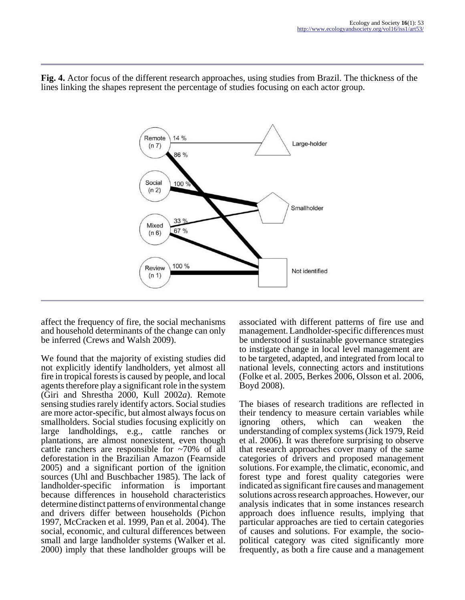

**Fig. 4.** Actor focus of the different research approaches, using studies from Brazil. The thickness of the lines linking the shapes represent the percentage of studies focusing on each actor group.

affect the frequency of fire, the social mechanisms and household determinants of the change can only be inferred (Crews and Walsh 2009).

We found that the majority of existing studies did not explicitly identify landholders, yet almost all fire in tropical forests is caused by people, and local agents therefore play a significant role in the system (Giri and Shrestha 2000, Kull 2002*a*). Remote sensing studies rarely identify actors. Social studies are more actor-specific, but almost always focus on smallholders. Social studies focusing explicitly on large landholdings, e.g., cattle ranches or plantations, are almost nonexistent, even though cattle ranchers are responsible for  $\sim$ 70% of all deforestation in the Brazilian Amazon (Fearnside 2005) and a significant portion of the ignition sources (Uhl and Buschbacher 1985). The lack of landholder-specific information is important because differences in household characteristics determine distinct patterns of environmental change and drivers differ between households (Pichon 1997, McCracken et al. 1999, Pan et al. 2004). The social, economic, and cultural differences between small and large landholder systems (Walker et al. 2000) imply that these landholder groups will be

associated with different patterns of fire use and management. Landholder-specific differences must be understood if sustainable governance strategies to instigate change in local level management are to be targeted, adapted, and integrated from local to national levels, connecting actors and institutions (Folke et al. 2005, Berkes 2006, Olsson et al. 2006, Boyd 2008).

The biases of research traditions are reflected in their tendency to measure certain variables while<br>ignoring others, which can weaken the ignoring others, which can weaken the understanding of complex systems (Jick 1979, Reid et al. 2006). It was therefore surprising to observe that research approaches cover many of the same categories of drivers and proposed management solutions. For example, the climatic, economic, and forest type and forest quality categories were indicated as significant fire causes and management solutions across research approaches. However, our analysis indicates that in some instances research approach does influence results, implying that particular approaches are tied to certain categories of causes and solutions. For example, the sociopolitical category was cited significantly more frequently, as both a fire cause and a management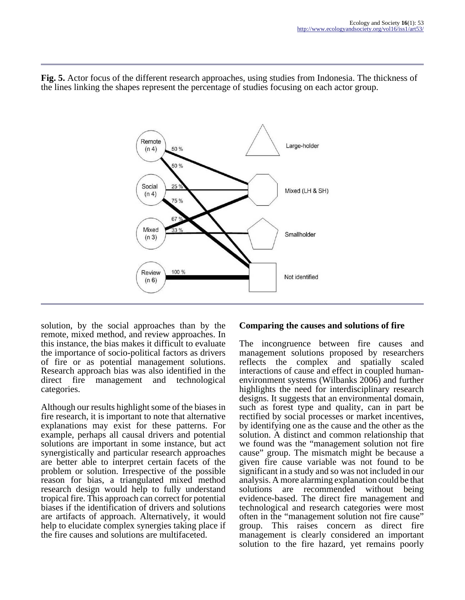

**Fig. 5.** Actor focus of the different research approaches, using studies from Indonesia. The thickness of the lines linking the shapes represent the percentage of studies focusing on each actor group.

solution, by the social approaches than by the remote, mixed method, and review approaches. In this instance, the bias makes it difficult to evaluate the importance of socio-political factors as drivers of fire or as potential management solutions. Research approach bias was also identified in the direct fire management and technological direct fire management and categories.

Although our results highlight some of the biases in fire research, it is important to note that alternative explanations may exist for these patterns. For example, perhaps all causal drivers and potential solutions are important in some instance, but act synergistically and particular research approaches are better able to interpret certain facets of the problem or solution. Irrespective of the possible reason for bias, a triangulated mixed method research design would help to fully understand tropical fire. This approach can correct for potential biases if the identification of drivers and solutions are artifacts of approach. Alternatively, it would help to elucidate complex synergies taking place if the fire causes and solutions are multifaceted.

### **Comparing the causes and solutions of fire**

The incongruence between fire causes and management solutions proposed by researchers reflects the complex and spatially scaled interactions of cause and effect in coupled humanenvironment systems (Wilbanks 2006) and further highlights the need for interdisciplinary research designs. It suggests that an environmental domain, such as forest type and quality, can in part be rectified by social processes or market incentives, by identifying one as the cause and the other as the solution. A distinct and common relationship that we found was the "management solution not fire cause" group. The mismatch might be because a given fire cause variable was not found to be significant in a study and so was not included in our analysis. A more alarming explanation could be that solutions are recommended without being evidence-based. The direct fire management and technological and research categories were most often in the "management solution not fire cause" group. This raises concern as direct fire management is clearly considered an important solution to the fire hazard, yet remains poorly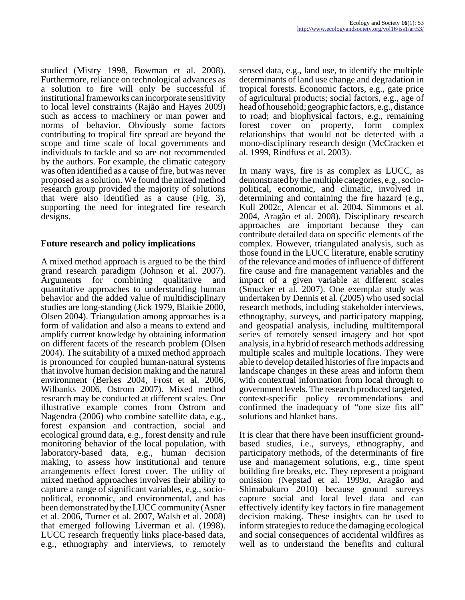studied (Mistry 1998, Bowman et al. 2008). Furthermore, reliance on technological advances as a solution to fire will only be successful if institutional frameworks can incorporate sensitivity to local level constraints (Rajão and Hayes 2009) such as access to machinery or man power and norms of behavior. Obviously some factors contributing to tropical fire spread are beyond the scope and time scale of local governments and individuals to tackle and so are not recommended by the authors. For example, the climatic category was often identified as a cause of fire, but was never proposed as a solution. We found the mixed method research group provided the majority of solutions that were also identified as a cause (Fig. 3), supporting the need for integrated fire research designs.

### **Future research and policy implications**

A mixed method approach is argued to be the third grand research paradigm (Johnson et al. 2007). Arguments for combining qualitative and quantitative approaches to understanding human behavior and the added value of multidisciplinary studies are long-standing (Jick 1979, Blaikie 2000, Olsen 2004). Triangulation among approaches is a form of validation and also a means to extend and amplify current knowledge by obtaining information on different facets of the research problem (Olsen 2004). The suitability of a mixed method approach is pronounced for coupled human-natural systems that involve human decision making and the natural environment (Berkes 2004, Frost et al. 2006, Wilbanks 2006, Ostrom 2007). Mixed method research may be conducted at different scales. One illustrative example comes from Ostrom and Nagendra (2006) who combine satellite data, e.g., forest expansion and contraction, social and ecological ground data, e.g., forest density and rule monitoring behavior of the local population, with laboratory-based data, e.g., human decision making, to assess how institutional and tenure arrangements effect forest cover. The utility of mixed method approaches involves their ability to capture a range of significant variables, e.g., sociopolitical, economic, and environmental, and has been demonstrated by the LUCC community (Asner et al. 2006, Turner et al. 2007, Walsh et al. 2008) that emerged following Liverman et al. (1998). LUCC research frequently links place-based data, e.g., ethnography and interviews, to remotely

sensed data, e.g., land use, to identify the multiple determinants of land use change and degradation in tropical forests. Economic factors, e.g., gate price of agricultural products; social factors, e.g., age of head of household; geographic factors, e.g., distance to road; and biophysical factors, e.g., remaining forest cover on property, form complex relationships that would not be detected with a mono-disciplinary research design (McCracken et al. 1999, Rindfuss et al. 2003).

In many ways, fire is as complex as LUCC, as demonstrated by the multiple categories, e.g., sociopolitical, economic, and climatic, involved in determining and containing the fire hazard (e.g., Kull 2002*c*, Alencar et al. 2004, Simmons et al. 2004, Aragão et al. 2008). Disciplinary research approaches are important because they can contribute detailed data on specific elements of the complex. However, triangulated analysis, such as those found in the LUCC literature, enable scrutiny of the relevance and modes of influence of different fire cause and fire management variables and the impact of a given variable at different scales (Smucker et al. 2007). One exemplar study was undertaken by Dennis et al. (2005) who used social research methods, including stakeholder interviews, ethnography, surveys, and participatory mapping, and geospatial analysis, including multitemporal series of remotely sensed imagery and hot spot analysis, in a hybrid of research methods addressing multiple scales and multiple locations. They were able to develop detailed histories of fire impacts and landscape changes in these areas and inform them with contextual information from local through to government levels. The research produced targeted, context-specific policy recommendations and confirmed the inadequacy of "one size fits all" solutions and blanket bans.

It is clear that there have been insufficient groundbased studies, i.e., surveys, ethnography, and participatory methods, of the determinants of fire use and management solutions, e.g., time spent building fire breaks, etc. They represent a poignant omission (Nepstad et al. 1999*a*, Aragão and Shimabukuro 2010) because ground surveys capture social and local level data and can effectively identify key factors in fire management decision making. These insights can be used to inform strategies to reduce the damaging ecological and social consequences of accidental wildfires as well as to understand the benefits and cultural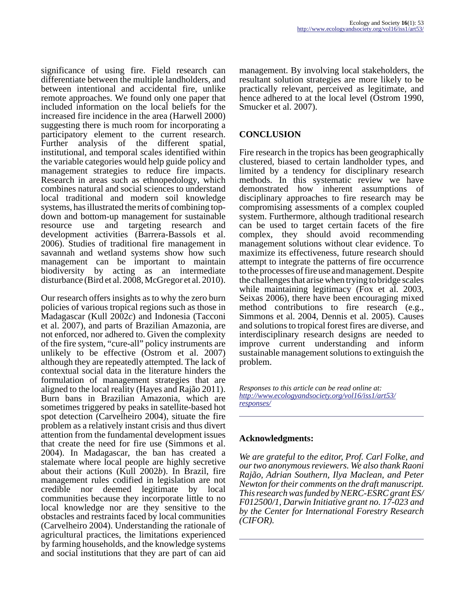significance of using fire. Field research can differentiate between the multiple landholders, and between intentional and accidental fire, unlike remote approaches. We found only one paper that included information on the local beliefs for the increased fire incidence in the area (Harwell 2000) suggesting there is much room for incorporating a participatory element to the current research. Further analysis of the different spatial, institutional, and temporal scales identified within the variable categories would help guide policy and management strategies to reduce fire impacts. Research in areas such as ethnopedology, which combines natural and social sciences to understand local traditional and modern soil knowledge systems, has illustrated the merits of combining topdown and bottom-up management for sustainable resource use and targeting research and development activities (Barrera-Bassols et al. 2006). Studies of traditional fire management in savannah and wetland systems show how such management can be important to maintain biodiversity by acting as an intermediate disturbance (Bird et al. 2008, McGregor et al. 2010).

Our research offers insights as to why the zero burn policies of various tropical regions such as those in Madagascar (Kull 2002*c*) and Indonesia (Tacconi et al. 2007), and parts of Brazilian Amazonia, are not enforced, nor adhered to. Given the complexity of the fire system, "cure-all" policy instruments are unlikely to be effective (Ostrom et al. 2007) although they are repeatedly attempted. The lack of contextual social data in the literature hinders the formulation of management strategies that are aligned to the local reality (Hayes and Rajão 2011). Burn bans in Brazilian Amazonia, which are sometimes triggered by peaks in satellite-based hot spot detection (Carvelheiro 2004), situate the fire problem as a relatively instant crisis and thus divert attention from the fundamental development issues that create the need for fire use (Simmons et al. 2004). In Madagascar, the ban has created a stalemate where local people are highly secretive about their actions (Kull 2002*b*). In Brazil, fire management rules codified in legislation are not credible nor deemed legitimate by local communities because they incorporate little to no local knowledge nor are they sensitive to the obstacles and restraints faced by local communities (Carvelheiro 2004). Understanding the rationale of agricultural practices, the limitations experienced by farming households, and the knowledge systems and social institutions that they are part of can aid

management. By involving local stakeholders, the resultant solution strategies are more likely to be practically relevant, perceived as legitimate, and hence adhered to at the local level (Ostrom 1990, Smucker et al. 2007).

### **CONCLUSION**

Fire research in the tropics has been geographically clustered, biased to certain landholder types, and limited by a tendency for disciplinary research methods. In this systematic review we have demonstrated how inherent assumptions of disciplinary approaches to fire research may be compromising assessments of a complex coupled system. Furthermore, although traditional research can be used to target certain facets of the fire complex, they should avoid recommending management solutions without clear evidence. To maximize its effectiveness, future research should attempt to integrate the patterns of fire occurrence to the processes of fire use and management. Despite the challenges that arise when trying to bridge scales while maintaining legitimacy (Fox et al. 2003, Seixas 2006), there have been encouraging mixed method contributions to fire research (e.g., Simmons et al. 2004, Dennis et al. 2005). Causes and solutions to tropical forest fires are diverse, and interdisciplinary research designs are needed to improve current understanding and inform sustainable management solutions to extinguish the problem.

*Responses to this article can be read online at: [http://www](http://www.ecologyandsociety.org/vol16/iss1/art53/responses/).ecologyandsociety.org/vol16/iss1/art53/ responses/*

### **Acknowledgments:**

*We are grateful to the editor, Prof. Carl Folke, and our two anonymous reviewers. We also thank Raoni Rajão, Adrian Southern, Ilya Maclean, and Peter Newton for their comments on the draft manuscript. This research was funded by NERC-ESRC grant ES/ F012500/1, Darwin Initiative grant no. 17-023 and by the Center for International Forestry Research (CIFOR).*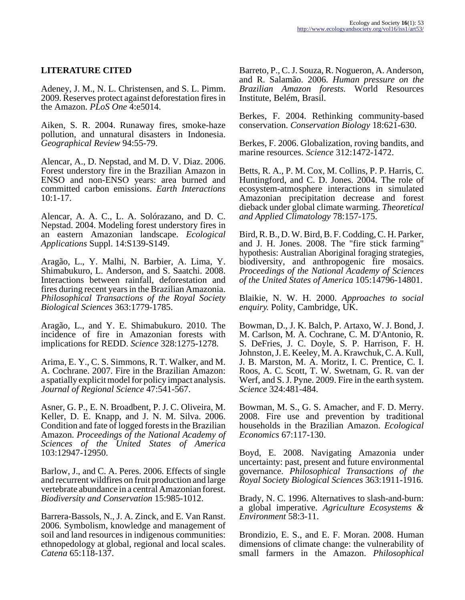### **LITERATURE CITED**

Adeney, J. M., N. L. Christensen, and S. L. Pimm. 2009. Reserves protect against deforestation fires in the Amazon. *PLoS One* 4:e5014.

Aiken, S. R. 2004. Runaway fires, smoke-haze pollution, and unnatural disasters in Indonesia. *Geographical Review* 94:55-79.

Alencar, A., D. Nepstad, and M. D. V. Diaz. 2006. Forest understory fire in the Brazilian Amazon in ENSO and non-ENSO years: area burned and committed carbon emissions. *Earth Interactions* 10:1-17.

Alencar, A. A. C., L. A. Solórazano, and D. C. Nepstad. 2004. Modeling forest understory fires in an eastern Amazonian landscape. *Ecological Applications* Suppl. 14:S139-S149.

Aragão, L., Y. Malhi, N. Barbier, A. Lima, Y. Shimabukuro, L. Anderson, and S. Saatchi. 2008. Interactions between rainfall, deforestation and fires during recent years in the Brazilian Amazonia. *Philosophical Transactions of the Royal Society Biological Sciences* 363:1779-1785.

Aragão, L., and Y. E. Shimabukuro. 2010. The incidence of fire in Amazonian forests with implications for REDD. *Science* 328:1275-1278.

Arima, E. Y., C. S. Simmons, R. T. Walker, and M. A. Cochrane. 2007. Fire in the Brazilian Amazon: a spatially explicit model for policy impact analysis. *Journal of Regional Science* 47:541-567.

Asner, G. P., E. N. Broadbent, P. J. C. Oliveira, M. Keller, D. E. Knapp, and J. N. M. Silva. 2006. Condition and fate of logged forests in the Brazilian Amazon. *Proceedings of the National Academy of Sciences of the United States of America* 103:12947-12950.

Barlow, J., and C. A. Peres. 2006. Effects of single and recurrent wildfires on fruit production and large vertebrate abundance in a central Amazonian forest. *Biodiversity and Conservation* 15:985-1012.

Barrera-Bassols, N., J. A. Zinck, and E. Van Ranst. 2006. Symbolism, knowledge and management of soil and land resources in indigenous communities: ethnopedology at global, regional and local scales. *Catena* 65:118-137.

Barreto, P., C. J. Souza, R. Nogueron, A. Anderson, and R. Salamão. 2006. *Human pressure on the Brazilian Amazon forests.* World Resources Institute, Belém, Brasil.

Berkes, F. 2004. Rethinking community-based conservation. *Conservation Biology* 18:621-630.

Berkes, F. 2006. Globalization, roving bandits, and marine resources. *Science* 312:1472-1472.

Betts, R. A., P. M. Cox, M. Collins, P. P. Harris, C. Huntingford, and C. D. Jones. 2004. The role of ecosystem-atmosphere interactions in simulated Amazonian precipitation decrease and forest dieback under global climate warming. *Theoretical and Applied Climatology* 78:157-175.

Bird, R. B., D. W. Bird, B. F. Codding, C. H. Parker, and J. H. Jones. 2008. The "fire stick farming" hypothesis: Australian Aboriginal foraging strategies, biodiversity, and anthropogenic fire mosaics. *Proceedings of the National Academy of Sciences of the United States of America* 105:14796-14801.

Blaikie, N. W. H. 2000. *Approaches to social enquiry.* Polity, Cambridge, UK.

Bowman, D., J. K. Balch, P. Artaxo, W. J. Bond, J. M. Carlson, M. A. Cochrane, C. M. D'Antonio, R. S. DeFries, J. C. Doyle, S. P. Harrison, F. H. Johnston, J. E. Keeley, M. A. Krawchuk, C. A. Kull, J. B. Marston, M. A. Moritz, I. C. Prentice, C. I. Roos, A. C. Scott, T. W. Swetnam, G. R. van der Werf, and S. J. Pyne. 2009. Fire in the earth system. *Science* 324:481-484.

Bowman, M. S., G. S. Amacher, and F. D. Merry. 2008. Fire use and prevention by traditional households in the Brazilian Amazon. *Ecological Economics* 67:117-130.

Boyd, E. 2008. Navigating Amazonia under uncertainty: past, present and future environmental governance. *Philosophical Transactions of the Royal Society Biological Sciences* 363:1911-1916.

Brady, N. C. 1996. Alternatives to slash-and-burn: a global imperative. *Agriculture Ecosystems & Environment* 58:3-11.

Brondizio, E. S., and E. F. Moran. 2008. Human dimensions of climate change: the vulnerability of small farmers in the Amazon. *Philosophical*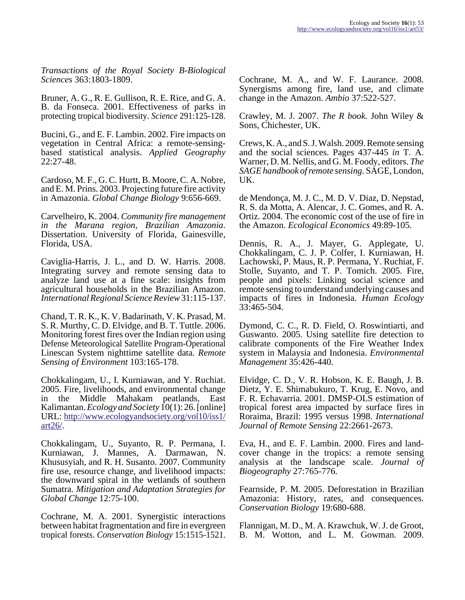*Transactions of the Royal Society B-Biological Sciences* 363:1803-1809.

Bruner, A. G., R. E. Gullison, R. E. Rice, and G. A. B. da Fonseca. 2001. Effectiveness of parks in protecting tropical biodiversity. *Science* 291:125-128.

Bucini, G., and E. F. Lambin. 2002. Fire impacts on vegetation in Central Africa: a remote-sensingbased statistical analysis. *Applied Geography* 22:27-48.

Cardoso, M. F., G. C. Hurtt, B. Moore, C. A. Nobre, and E. M. Prins. 2003. Projecting future fire activity in Amazonia. *Global Change Biology* 9:656-669.

Carvelheiro, K. 2004. *Community fire management in the Marana region, Brazilian Amazonia*. Dissertation. University of Florida, Gainesville, Florida, USA.

Caviglia-Harris, J. L., and D. W. Harris. 2008. Integrating survey and remote sensing data to analyze land use at a fine scale: insights from agricultural households in the Brazilian Amazon. *International Regional Science Review* 31:115-137.

Chand, T. R. K., K. V. Badarinath, V. K. Prasad, M. S. R. Murthy, C. D. Elvidge, and B. T. Tuttle. 2006. Monitoring forest fires over the Indian region using Defense Meteorological Satellite Program-Operational Linescan System nighttime satellite data. *Remote Sensing of Environment* 103:165-178.

Chokkalingam, U., I. Kurniawan, and Y. Ruchiat. 2005. Fire, livelihoods, and environmental change in the Middle Mahakam peatlands, East Kalimantan. *Ecology and Society* 10(1): 26. [online] URL: [http://www.ecologyandsociety.org/vol10/iss1/](http://www.ecologyandsociety.org/vol10/iss1/art26/) [art26/.](http://www.ecologyandsociety.org/vol10/iss1/art26/)

Chokkalingam, U., Suyanto, R. P. Permana, I. Kurniawan, J. Mannes, A. Darmawan, N. Khususyiah, and R. H. Susanto. 2007. Community fire use, resource change, and livelihood impacts: the downward spiral in the wetlands of southern Sumatra. *Mitigation and Adaptation Strategies for Global Change* 12:75-100.

Cochrane, M. A. 2001. Synergistic interactions between habitat fragmentation and fire in evergreen tropical forests. *Conservation Biology* 15:1515-1521.

Cochrane, M. A., and W. F. Laurance. 2008. Synergisms among fire, land use, and climate change in the Amazon. *Ambio* 37:522-527.

Crawley, M. J. 2007. *The R book.* John Wiley & Sons, Chichester, UK.

Crews, K. A., and S. J. Walsh. 2009. Remote sensing and the social sciences. Pages 437-445 *in* T. A. Warner, D. M. Nellis, and G. M. Foody, editors. *The SAGE handbook of remote sensing.* SAGE, London, UK.

de Mendonça, M. J. C., M. D. V. Diaz, D. Nepstad, R. S. da Motta, A. Alencar, J. C. Gomes, and R. A. Ortiz. 2004. The economic cost of the use of fire in the Amazon. *Ecological Economics* 49:89-105.

Dennis, R. A., J. Mayer, G. Applegate, U. Chokkalingam, C. J. P. Colfer, I. Kurniawan, H. Lachowski, P. Maus, R. P. Permana, Y. Ruchiat, F. Stolle, Suyanto, and T. P. Tomich. 2005. Fire, people and pixels: Linking social science and remote sensing to understand underlying causes and impacts of fires in Indonesia. *Human Ecology* 33:465-504.

Dymond, C. C., R. D. Field, O. Roswintiarti, and Guswanto. 2005. Using satellite fire detection to calibrate components of the Fire Weather Index system in Malaysia and Indonesia. *Environmental Management* 35:426-440.

Elvidge, C. D., V. R. Hobson, K. E. Baugh, J. B. Dietz, Y. E. Shimabukuro, T. Krug, E. Novo, and F. R. Echavarria. 2001. DMSP-OLS estimation of tropical forest area impacted by surface fires in Roraima, Brazil: 1995 versus 1998. *International Journal of Remote Sensing* 22:2661-2673.

Eva, H., and E. F. Lambin. 2000. Fires and landcover change in the tropics: a remote sensing analysis at the landscape scale. *Journal of Biogeography* 27:765-776.

Fearnside, P. M. 2005. Deforestation in Brazilian Amazonia: History, rates, and consequences. *Conservation Biology* 19:680-688.

Flannigan, M. D., M. A. Krawchuk, W. J. de Groot, B. M. Wotton, and L. M. Gowman. 2009.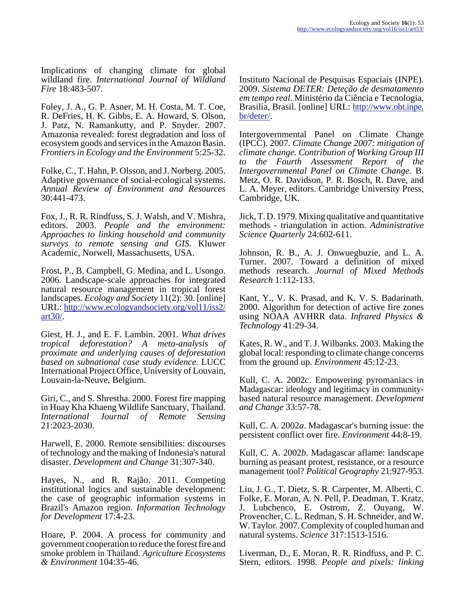Implications of changing climate for global wildland fire. *International Journal of Wildland Fire* 18:483-507.

Foley, J. A., G. P. Asner, M. H. Costa, M. T. Coe, R. DeFries, H. K. Gibbs, E. A. Howard, S. Olson, J. Patz, N. Ramankutty, and P. Snyder. 2007. Amazonia revealed: forest degradation and loss of ecosystem goods and services in the Amazon Basin. *Frontiers in Ecology and the Environment* 5:25-32.

Folke, C., T. Hahn, P. Olsson, and J. Norberg. 2005. Adaptive governance of social-ecological systems. *Annual Review of Environment and Resources* 30:441-473.

Fox, J., R. R. Rindfuss, S. J. Walsh, and V. Mishra, editors. 2003. *People and the environment: Approaches to linking household and community surveys to remote sensing and GIS.* Kluwer Academic, Norwell, Massachusetts, USA.

Frost, P., B. Campbell, G. Medina, and L. Usongo. 2006. Landscape-scale approaches for integrated natural resource management in tropical forest landscapes. *Ecology and Society* 11(2): 30. [online] URL: [http://www.ecologyandsociety.org/vol11/iss2/](http://www.ecologyandsociety.org/vol11/iss2/art30/) [art30/.](http://www.ecologyandsociety.org/vol11/iss2/art30/)

Giest, H. J., and E. F. Lambin. 2001. *What drives tropical deforestation? A meta-analysis of proximate and underlying causes of deforestation based on subnational case study evidence.* LUCC International Project Office, University of Louvain, Louvain-la-Neuve, Belgium.

Giri, C., and S. Shrestha. 2000. Forest fire mapping in Huay Kha Khaeng Wildlife Sanctuary, Thailand. *International Journal of Remote Sensing* 21:2023-2030.

Harwell, E. 2000. Remote sensibilities: discourses of technology and the making of Indonesia's natural disaster. *Development and Change* 31:307-340.

Hayes, N., and R. Rajão. 2011. Competing institutional logics and sustainable development: the case of geographic information systems in Brazil's Amazon region. *Information Technology for Development* 17:4-23.

Hoare, P. 2004. A process for community and government cooperation to reduce the forest fire and smoke problem in Thailand. *Agriculture Ecosystems & Environment* 104:35-46.

Instituto Nacional de Pesquisas Espaciais (INPE). 2009. *Sistema DETER: Deteção de desmatamento em tempo real.* Ministério da Ciência e Tecnologia, Brasilía, Brasil. [online] URL: [http://www.obt.inpe.](http://www.obt.inpe.br/deter/) [br/deter/.](http://www.obt.inpe.br/deter/)

Intergovernmental Panel on Climate Change (IPCC). 2007. *Climate Change 2007: mitigation of climate change. Contribution of Working Group III to the Fourth Assessment Report of the Intergovernmental Panel on Climate Change.* B. Metz, O. R. Davidson, P. R. Bosch, R. Dave, and L. A. Meyer, editors. Cambridge University Press, Cambridge, UK.

Jick, T. D. 1979. Mixing qualitative and quantitative methods - triangulation in action. *Administrative Science Quarterly* 24:602-611.

Johnson, R. B., A. J. Onwuegbuzie, and L. A. Turner. 2007. Toward a definition of mixed methods research. *Journal of Mixed Methods Research* 1:112-133.

Kant, Y., V. K. Prasad, and K. V. S. Badarinath. 2000. Algorithm for detection of active fire zones using NOAA AVHRR data. *Infrared Physics & Technology* 41:29-34.

Kates, R. W., and T. J. Wilbanks. 2003. Making the global local: responding to climate change concerns from the ground up. *Environment* 45:12-23.

Kull, C. A. 2002*c*. Empowering pyromaniacs in Madagascar: ideology and legitimacy in communitybased natural resource management. *Development and Change* 33:57-78.

Kull, C. A. 2002*a*. Madagascar's burning issue: the persistent conflict over fire. *Environment* 44:8-19.

Kull, C. A. 2002*b*. Madagascar aflame: landscape burning as peasant protest, resistance, or a resource management tool? *Political Geography* 21:927-953.

Liu, J. G., T. Dietz, S. R. Carpenter, M. Alberti, C. Folke, E. Moran, A. N. Pell, P. Deadman, T. Kratz, J. Lubchenco, E. Ostrom, Z. Ouyang, W. Provencher, C. L. Redman, S. H. Schneider, and W. W. Taylor. 2007. Complexity of coupled human and natural systems. *Science* 317:1513-1516.

Liverman, D., E. Moran, R. R. Rindfuss, and P. C. Stern, editors. 1998. *People and pixels: linking*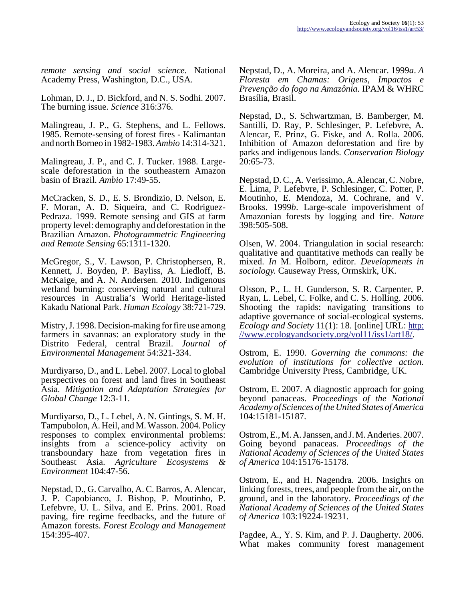*remote sensing and social science.* National Academy Press, Washington, D.C., USA.

Lohman, D. J., D. Bickford, and N. S. Sodhi. 2007. The burning issue. *Science* 316:376.

Malingreau, J. P., G. Stephens, and L. Fellows. 1985. Remote-sensing of forest fires - Kalimantan and north Borneo in 1982-1983. *Ambio* 14:314-321.

Malingreau, J. P., and C. J. Tucker. 1988. Largescale deforestation in the southeastern Amazon basin of Brazil. *Ambio* 17:49-55.

McCracken, S. D., E. S. Brondizio, D. Nelson, E. F. Moran, A. D. Siqueira, and C. Rodriguez-Pedraza. 1999. Remote sensing and GIS at farm property level: demography and deforestation in the Brazilian Amazon. *Photogrammetric Engineering and Remote Sensing* 65:1311-1320.

McGregor, S., V. Lawson, P. Christophersen, R. Kennett, J. Boyden, P. Bayliss, A. Liedloff, B. McKaige, and A. N. Andersen. 2010. Indigenous wetland burning: conserving natural and cultural resources in Australia's World Heritage-listed Kakadu National Park. *Human Ecology* 38:721-729.

Mistry, J. 1998. Decision-making for fire use among farmers in savannas: an exploratory study in the Distrito Federal, central Brazil. *Journal of Environmental Management* 54:321-334.

Murdiyarso, D., and L. Lebel. 2007. Local to global perspectives on forest and land fires in Southeast Asia. *Mitigation and Adaptation Strategies for Global Change* 12:3-11.

Murdiyarso, D., L. Lebel, A. N. Gintings, S. M. H. Tampubolon, A. Heil, and M. Wasson. 2004. Policy responses to complex environmental problems: insights from a science-policy activity on transboundary haze from vegetation fires in Southeast Asia. *Agriculture Ecosystems & Environment* 104:47-56.

Nepstad, D., G. Carvalho, A. C. Barros, A. Alencar, J. P. Capobianco, J. Bishop, P. Moutinho, P. Lefebvre, U. L. Silva, and E. Prins. 2001. Road paving, fire regime feedbacks, and the future of Amazon forests. *Forest Ecology and Management* 154:395-407.

Nepstad, D., A. Moreira, and A. Alencar. 1999*a*. *A Floresta em Chamas: Origens, Impactos e Prevenção do fogo na Amazônia.* IPAM & WHRC Brasília, Brasil.

Nepstad, D., S. Schwartzman, B. Bamberger, M. Santilli, D. Ray, P. Schlesinger, P. Lefebvre, A. Alencar, E. Prinz, G. Fiske, and A. Rolla. 2006. Inhibition of Amazon deforestation and fire by parks and indigenous lands. *Conservation Biology* 20:65-73.

Nepstad, D. C., A. Verissimo, A. Alencar, C. Nobre, E. Lima, P. Lefebvre, P. Schlesinger, C. Potter, P. Moutinho, E. Mendoza, M. Cochrane, and V. Brooks. 1999*b*. Large-scale impoverishment of Amazonian forests by logging and fire. *Nature* 398:505-508.

Olsen, W. 2004. Triangulation in social research: qualitative and quantitative methods can really be mixed. *In* M. Holborn, editor. *Developments in sociology.* Causeway Press, Ormskirk, UK.

Olsson, P., L. H. Gunderson, S. R. Carpenter, P. Ryan, L. Lebel, C. Folke, and C. S. Holling. 2006. Shooting the rapids: navigating transitions to adaptive governance of social-ecological systems. *Ecology and Society* 11(1): 18. [online] URL: [http:](http://www.ecologyandsociety.org/vol11/iss1/art18/) [//www.ecologyandsociety.org/vol11/iss1/art18/.](http://www.ecologyandsociety.org/vol11/iss1/art18/)

Ostrom, E. 1990. *Governing the commons: the evolution of institutions for collective action.* Cambridge University Press, Cambridge, UK.

Ostrom, E. 2007. A diagnostic approach for going beyond panaceas. *Proceedings of the National Academy of Sciences of the United States of America* 104:15181-15187.

Ostrom, E., M. A. Janssen, and J. M. Anderies. 2007. Going beyond panaceas. *Proceedings of the National Academy of Sciences of the United States of America* 104:15176-15178.

Ostrom, E., and H. Nagendra. 2006. Insights on linking forests, trees, and people from the air, on the ground, and in the laboratory. *Proceedings of the National Academy of Sciences of the United States of America* 103:19224-19231.

Pagdee, A., Y. S. Kim, and P. J. Daugherty. 2006. What makes community forest management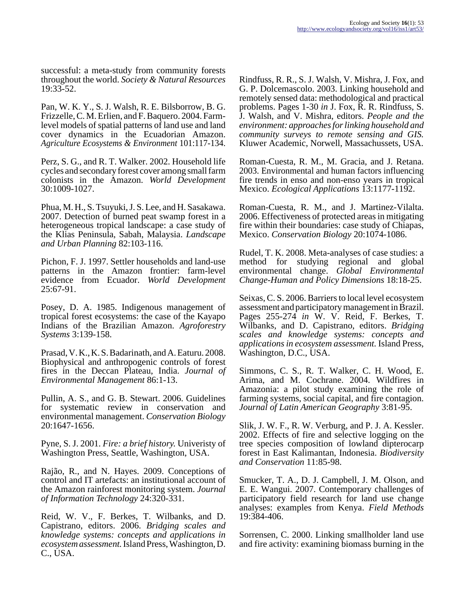successful: a meta-study from community forests throughout the world. *Society & Natural Resources* 19:33-52.

Pan, W. K. Y., S. J. Walsh, R. E. Bilsborrow, B. G. Frizzelle, C. M. Erlien, and F. Baquero. 2004. Farmlevel models of spatial patterns of land use and land cover dynamics in the Ecuadorian Amazon. *Agriculture Ecosystems & Environment* 101:117-134.

Perz, S. G., and R. T. Walker. 2002. Household life cycles and secondary forest cover among small farm colonists in the Amazon. *World Development* 30:1009-1027.

Phua, M. H., S. Tsuyuki, J. S. Lee, and H. Sasakawa. 2007. Detection of burned peat swamp forest in a heterogeneous tropical landscape: a case study of the Klias Peninsula, Sabah, Malaysia. *Landscape and Urban Planning* 82:103-116.

Pichon, F. J. 1997. Settler households and land-use patterns in the Amazon frontier: farm-level evidence from Ecuador. *World Development* 25:67-91.

Posey, D. A. 1985. Indigenous management of tropical forest ecosystems: the case of the Kayapo Indians of the Brazilian Amazon. *Agroforestry Systems* 3:139-158.

Prasad, V. K., K. S. Badarinath, and A. Eaturu. 2008. Biophysical and anthropogenic controls of forest fires in the Deccan Plateau, India. *Journal of Environmental Management* 86:1-13.

Pullin, A. S., and G. B. Stewart. 2006. Guidelines for systematic review in conservation and environmental management. *Conservation Biology* 20:1647-1656.

Pyne, S. J. 2001. *Fire: a brief history.* Univeristy of Washington Press, Seattle, Washington, USA.

Rajão, R., and N. Hayes. 2009. Conceptions of control and IT artefacts: an institutional account of the Amazon rainforest monitoring system. *Journal of Information Technology* 24:320-331.

Reid, W. V., F. Berkes, T. Wilbanks, and D. Capistrano, editors. 2006. *Bridging scales and knowledge systems: concepts and applications in ecosystem assessment.* Island Press, Washington, D. C., USA.

Rindfuss, R. R., S. J. Walsh, V. Mishra, J. Fox, and G. P. Dolcemascolo. 2003. Linking household and remotely sensed data: methodological and practical problems. Pages 1-30 *in* J. Fox, R. R. Rindfuss, S. J. Walsh, and V. Mishra, editors. *People and the environment: approaches for linking household and community surveys to remote sensing and GIS.* Kluwer Academic, Norwell, Massachussets, USA.

Roman-Cuesta, R. M., M. Gracia, and J. Retana. 2003. Environmental and human factors influencing fire trends in enso and non-enso years in tropical Mexico. *Ecological Applications* 13:1177-1192.

Roman-Cuesta, R. M., and J. Martinez-Vilalta. 2006. Effectiveness of protected areas in mitigating fire within their boundaries: case study of Chiapas, Mexico. *Conservation Biology* 20:1074-1086.

Rudel, T. K. 2008. Meta-analyses of case studies: a method for studying regional and global environmental change. *Global Environmental Change-Human and Policy Dimensions* 18:18-25.

Seixas, C. S. 2006. Barriers to local level ecosystem assessment and participatory management in Brazil. Pages 255-274 *in* W. V. Reid, F. Berkes, T. Wilbanks, and D. Capistrano, editors. *Bridging scales and knowledge systems: concepts and applications in ecosystem assessment.* Island Press, Washington, D.C., USA.

Simmons, C. S., R. T. Walker, C. H. Wood, E. Arima, and M. Cochrane. 2004. Wildfires in Amazonia: a pilot study examining the role of farming systems, social capital, and fire contagion. *Journal of Latin American Geography* 3:81-95.

Slik, J. W. F., R. W. Verburg, and P. J. A. Kessler. 2002. Effects of fire and selective logging on the tree species composition of lowland dipterocarp forest in East Kalimantan, Indonesia. *Biodiversity and Conservation* 11:85-98.

Smucker, T. A., D. J. Campbell, J. M. Olson, and E. E. Wangui. 2007. Contemporary challenges of participatory field research for land use change analyses: examples from Kenya. *Field Methods* 19:384-406.

Sorrensen, C. 2000. Linking smallholder land use and fire activity: examining biomass burning in the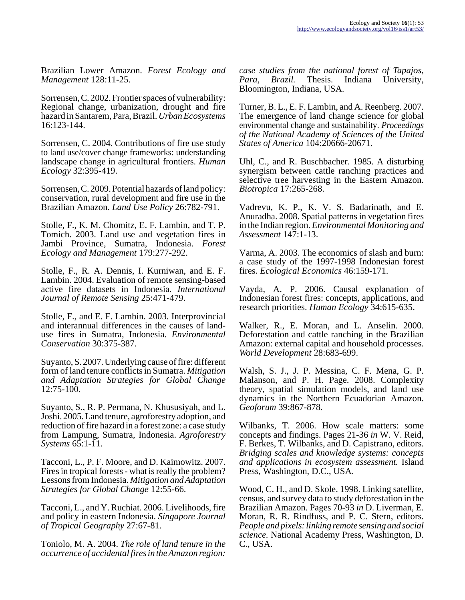Brazilian Lower Amazon. *Forest Ecology and Management* 128:11-25.

Sorrensen, C. 2002. Frontier spaces of vulnerability: Regional change, urbanization, drought and fire hazard in Santarem, Para, Brazil. *Urban Ecosystems* 16:123-144.

Sorrensen, C. 2004. Contributions of fire use study to land use/cover change frameworks: understanding landscape change in agricultural frontiers. *Human Ecology* 32:395-419.

Sorrensen, C. 2009. Potential hazards of land policy: conservation, rural development and fire use in the Brazilian Amazon. *Land Use Policy* 26:782-791.

Stolle, F., K. M. Chomitz, E. F. Lambin, and T. P. Tomich. 2003. Land use and vegetation fires in Jambi Province, Sumatra, Indonesia. *Forest Ecology and Management* 179:277-292.

Stolle, F., R. A. Dennis, I. Kurniwan, and E. F. Lambin. 2004. Evaluation of remote sensing-based active fire datasets in Indonesia. *International Journal of Remote Sensing* 25:471-479.

Stolle, F., and E. F. Lambin. 2003. Interprovincial and interannual differences in the causes of landuse fires in Sumatra, Indonesia. *Environmental Conservation* 30:375-387.

Suyanto, S. 2007. Underlying cause of fire: different form of land tenure conflicts in Sumatra. *Mitigation and Adaptation Strategies for Global Change* 12:75-100.

Suyanto, S., R. P. Permana, N. Khususiyah, and L. Joshi. 2005. Land tenure, agroforestry adoption, and reduction of fire hazard in a forest zone: a case study from Lampung, Sumatra, Indonesia. *Agroforestry Systems* 65:1-11.

Tacconi, L., P. F. Moore, and D. Kaimowitz. 2007. Fires in tropical forests - what is really the problem? Lessons from Indonesia. *Mitigation and Adaptation Strategies for Global Change* 12:55-66.

Tacconi, L., and Y. Ruchiat. 2006. Livelihoods, fire and policy in eastern Indonesia. *Singapore Journal of Tropical Geography* 27:67-81.

Toniolo, M. A. 2004. *The role of land tenure in the occurrence of accidental fires in the Amazon region:*

*case studies from the national forest of Tapajos, Para, Brazil.* Thesis. Indiana University, Bloomington, Indiana, USA.

Turner, B. L., E. F. Lambin, and A. Reenberg. 2007. The emergence of land change science for global environmental change and sustainability. *Proceedings of the National Academy of Sciences of the United States of America* 104:20666-20671.

Uhl, C., and R. Buschbacher. 1985. A disturbing synergism between cattle ranching practices and selective tree harvesting in the Eastern Amazon. *Biotropica* 17:265-268.

Vadrevu, K. P., K. V. S. Badarinath, and E. Anuradha. 2008. Spatial patterns in vegetation fires in the Indian region. *Environmental Monitoring and Assessment* 147:1-13.

Varma, A. 2003. The economics of slash and burn: a case study of the 1997-1998 Indonesian forest fires. *Ecological Economics* 46:159-171.

Vayda, A. P. 2006. Causal explanation of Indonesian forest fires: concepts, applications, and research priorities. *Human Ecology* 34:615-635.

Walker, R., E. Moran, and L. Anselin. 2000. Deforestation and cattle ranching in the Brazilian Amazon: external capital and household processes. *World Development* 28:683-699.

Walsh, S. J., J. P. Messina, C. F. Mena, G. P. Malanson, and P. H. Page. 2008. Complexity theory, spatial simulation models, and land use dynamics in the Northern Ecuadorian Amazon. *Geoforum* 39:867-878.

Wilbanks, T. 2006. How scale matters: some concepts and findings. Pages 21-36 *in* W. V. Reid, F. Berkes, T. Wilbanks, and D. Capistrano, editors. *Bridging scales and knowledge systems: concepts and applications in ecosystem assessment.* Island Press, Washington, D.C., USA.

Wood, C. H., and D. Skole. 1998. Linking satellite, census, and survey data to study deforestation in the Brazilian Amazon. Pages 70-93 *in* D. Liverman, E. Moran, R. R. Rindfuss, and P. C. Stern, editors. *People and pixels: linking remote sensing and social science.* National Academy Press, Washington, D. C., USA.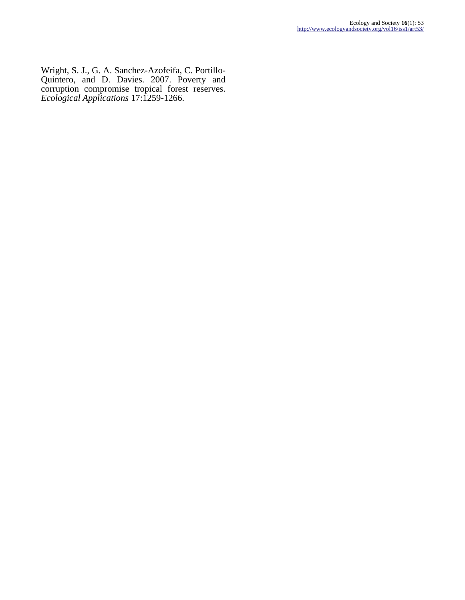Wright, S. J., G. A. Sanchez-Azofeifa, C. Portillo-Quintero, and D. Davies. 2007. Poverty and corruption compromise tropical forest reserves. *Ecological Applications* 17:1259-1266.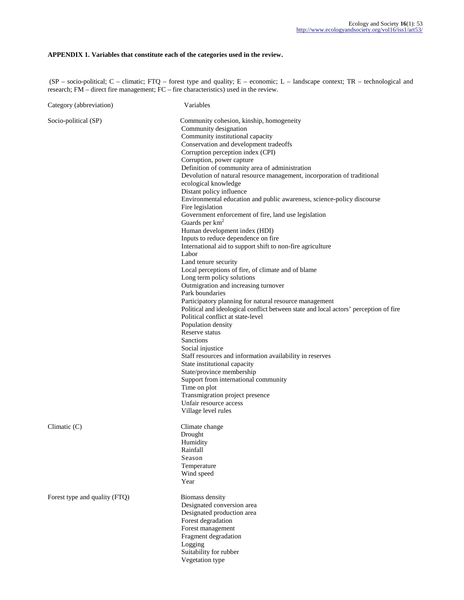#### **APPENDIX 1. Variables that constitute each of the categories used in the review.**

 $(SP - \text{social}; C - \text{climate}; FTQ - \text{forest type and quality}; E - \text{economic}; L - \text{landscape context}; TR - \text{technological and$ research; FM – direct fire management; FC – fire characteristics) used in the review.

| Category (abbreviation)       | Variables                                                                                                                                                                                                                                                                                                                                                                                                                                                                                                                                                                                                                                                                                                                                                                                                                                                                                                                                                                                                                                                                                                                                                                                                                                                                                                                                                                                                                                          |
|-------------------------------|----------------------------------------------------------------------------------------------------------------------------------------------------------------------------------------------------------------------------------------------------------------------------------------------------------------------------------------------------------------------------------------------------------------------------------------------------------------------------------------------------------------------------------------------------------------------------------------------------------------------------------------------------------------------------------------------------------------------------------------------------------------------------------------------------------------------------------------------------------------------------------------------------------------------------------------------------------------------------------------------------------------------------------------------------------------------------------------------------------------------------------------------------------------------------------------------------------------------------------------------------------------------------------------------------------------------------------------------------------------------------------------------------------------------------------------------------|
| Socio-political (SP)          | Community cohesion, kinship, homogeneity<br>Community designation<br>Community institutional capacity<br>Conservation and development tradeoffs<br>Corruption perception index (CPI)<br>Corruption, power capture<br>Definition of community area of administration<br>Devolution of natural resource management, incorporation of traditional<br>ecological knowledge<br>Distant policy influence<br>Environmental education and public awareness, science-policy discourse<br>Fire legislation<br>Government enforcement of fire, land use legislation<br>Guards per km <sup>2</sup><br>Human development index (HDI)<br>Inputs to reduce dependence on fire<br>International aid to support shift to non-fire agriculture<br>Labor<br>Land tenure security<br>Local perceptions of fire, of climate and of blame<br>Long term policy solutions<br>Outmigration and increasing turnover<br>Park boundaries<br>Participatory planning for natural resource management<br>Political and ideological conflict between state and local actors' perception of fire<br>Political conflict at state-level<br>Population density<br>Reserve status<br>Sanctions<br>Social injustice<br>Staff resources and information availability in reserves<br>State institutional capacity<br>State/province membership<br>Support from international community<br>Time on plot<br>Transmigration project presence<br>Unfair resource access<br>Village level rules |
| Climatic $(C)$                | Climate change<br>Drought<br>Humidity<br>Rainfall<br>Season<br>Temperature<br>Wind speed<br>Year                                                                                                                                                                                                                                                                                                                                                                                                                                                                                                                                                                                                                                                                                                                                                                                                                                                                                                                                                                                                                                                                                                                                                                                                                                                                                                                                                   |
| Forest type and quality (FTQ) | Biomass density<br>Designated conversion area<br>Designated production area<br>Forest degradation<br>Forest management<br>Fragment degradation<br>Logging<br>Suitability for rubber<br>Vegetation type                                                                                                                                                                                                                                                                                                                                                                                                                                                                                                                                                                                                                                                                                                                                                                                                                                                                                                                                                                                                                                                                                                                                                                                                                                             |